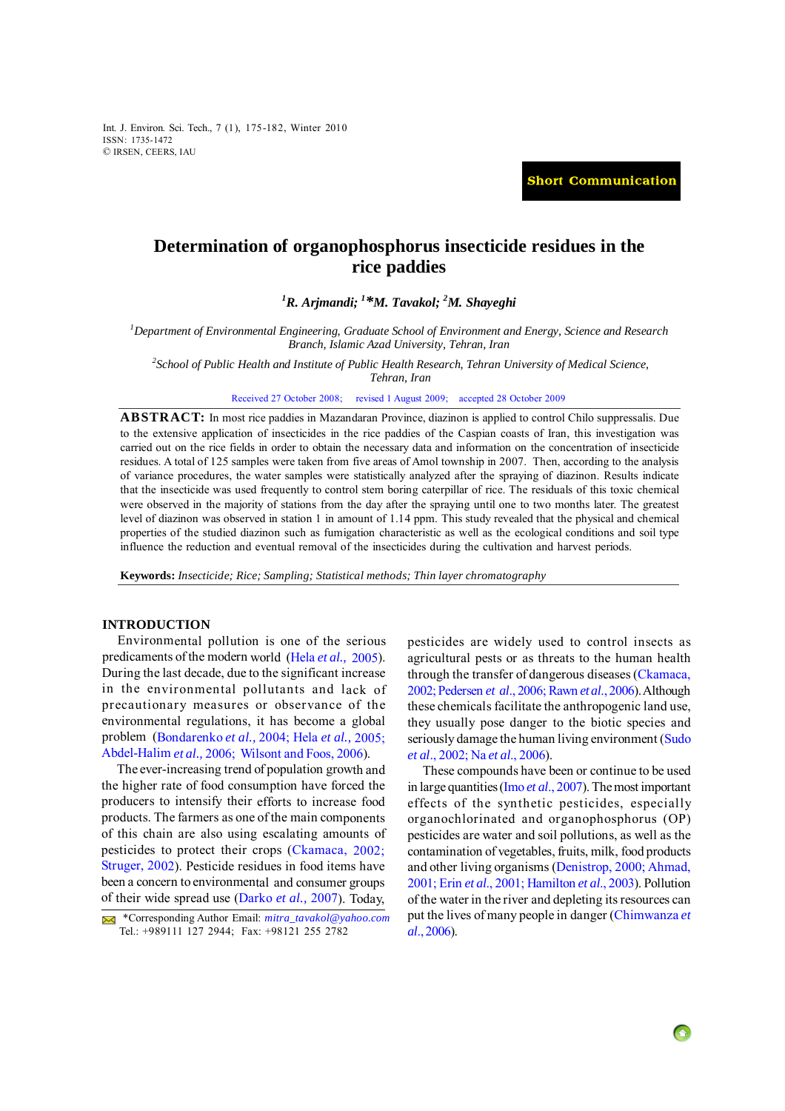Int. J. Environ. Sci. Tech., 7 (1), 175-182, Winter 2010 ISSN: 1735-1472 © IRSEN, CEERS, IAU

**Short Communication**

# **Determination of organophosphorus insecticide residues in the rice paddies**

*1 R. Arjmandi; 1 [\\*M. Tavakol; 2](#page-7-0) M. Shayeghi*

*1 Department of Environmental Engineering, Graduate School of Environment and Energy, Science and Research Branch, Islamic Azad University, Tehran, Iran* 

*2 School of Public Health and Institute of Public Health Research, Tehran University of Medical Science,* 

*Tehran, Iran* 

Received 27 October 2008; revised 1 August 2009; accepted 28 October 2009

**ABSTRACT:** In most rice paddies in Mazandaran Province, diazinon is applied to control Chilo suppressalis. Due to the extensive application of insecticides in the rice paddies of the Caspian coasts of Iran, this investigation was carried out on the rice fields in order to obtain the necessary data and information on the concentration of insecticide residues. A total of 125 samples were taken from five areas of Amol township in 2007. Then, according to the analysis of variance procedures, the water samples were statistically analyzed after the spraying of diazinon. Results indicate that the insecticide was used frequently to control stem boring caterpillar of rice. The residuals of this toxic chemical were observed in the majority of stations from the day after the spraying until one to two months later. The greatest level of diazinon was observed in station 1 in amount of 1.14 ppm. This study revealed that the physical and chemical properties of the studied diazinon such as fumigation characteristic as well as the ecological conditions and soil type influence the reduction and eventual removal of the insecticides during the cultivation and harvest periods.

**Keywords:** *Insecticide; Rice; Sampling; Statistical methods; Thin layer chromatography*

#### **INTRODUCTION**

Environmental pollution is one of the serious predicaments of the modern world (Hela *et al.,* [2005\)](#page-6-0). During the last decade, due to the significant increase in the environmental pollutants and lack of precautionary measures or observance of the environmental regulations, it has become <sup>a</sup> global problem [\(Bondarenko](#page-6-0) *et al.,* 2004; Hela *et al.,* [2005;](#page-6-0) [Abdel-Halim](#page-6-0) *et al.,* 2006; [Wilsont](#page-7-0) and Foos, 2006).

The ever-increasing trend of population growth and the higher rate of food consumption have forced the producers to intensify their efforts to increase food products. The farmers as one of the main components of this chain are also using escalating amounts of pesticides to protect their crops [\(Ckamaca,](#page-6-0) 2002; [Struger,](#page-7-0) 2002). Pesticide residues in food items have been <sup>a</sup> concern to environmental and consumer groups of their wide spread use [\(Darko](#page-6-0) *et al.,* 2007). Today, pesticides are widely used to control insects as agricultural pests or as threats to the human health through the transfer of dangerous diseases [\(Ckamaca,](#page-6-0) [2002; Pedersen](#page-6-0) *et al*., 2006; Rawn *et al*[., 2006\)](#page-6-0). Although these chemicals facilitate the anthropogenic land use, they usually pose danger to the biotic species and seriously damage the human living environment ([Sudo](#page-7-0) *et al*[., 2002;](#page-7-0) Na *et al*[., 2006\)](#page-6-0).

These compounds have been or continue to be used in large quantities (Imo *et al*[., 2007\)](#page-6-0). The most important effects of the synthetic pesticides, especially organochlorinated and organophosphorus (OP) pesticides are water and soil pollutions, as well as the contamination of vegetables, fruits, milk, food products and other living organisms ([Denistrop, 2000; Ahmad,](#page-6-0) [2001;](#page-6-0) Erin *et al*[., 2001; Hamilton](#page-6-0) *et al*., 2003). Pollution of the water in the river and depleting its resources can put the lives of many people in danger ([Chimwanza](#page-6-0) *et al*[., 2006\)](#page-6-0).

 <sup>\*</sup>Corresponding Author Email: *mitra\_tavakol@yahoo.com* Tel.: +989111 127 2944; Fax: +98121 255 2782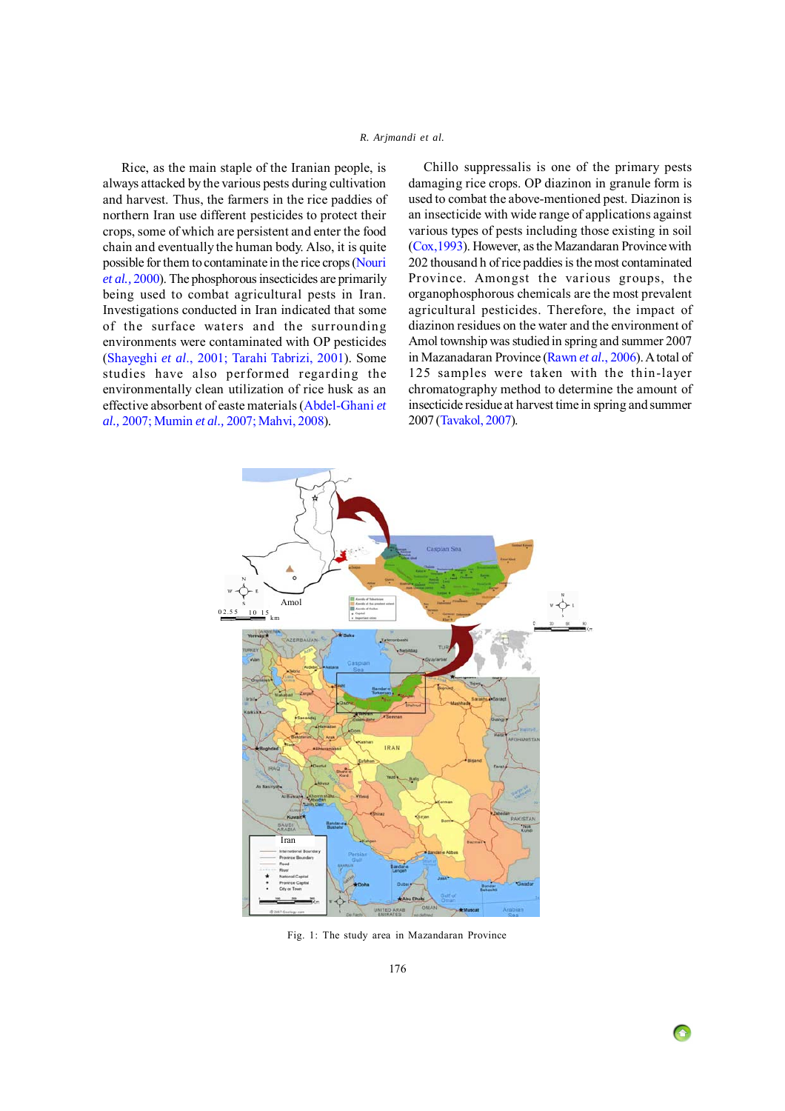# *R. Arjmandi et al.*

<span id="page-1-0"></span> Rice, as the main staple of the Iranian people, is always attacked by the various pests during cultivation and harvest. Thus, the farmers in the rice paddies of northern Iran use different pesticides to protect their crops, some of which are persistent and enter the food chain and eventually the human body. Also, it is quite possible for them to contaminate in the rice crops [\(Nouri](#page-6-0) *[et al.,](#page-6-0)* 2000). The phosphorous insecticides are primarily being used to combat agricultural pests in Iran. Investigations conducted in Iran indicated that some of the surface waters and the surrounding environments were contaminated with OP pesticides ([Shayeghi](#page-6-0) *et al*., 2001; [Tarahi Tabrizi, 2001\)](#page-7-0). Some studies have also performed regarding the environmentally clean utilization of rice husk as an effective absorbent of easte materials [\(Abdel-Ghani](#page-6-0) *et al.,* [2007; Mumin](#page-6-0) *et al.,* 2007; [Mahvi, 2008\)](#page-6-0).

Chillo suppressalis is one of the primary pests damaging rice crops. OP diazinon in granule form is used to combat the above-mentioned pest. Diazinon is an insecticide with wide range of applications against various types of pests including those existing in soil [\(Cox,1993\)](#page-6-0). However, as the Mazandaran Province with 202 thousand h of rice paddies is the most contaminated Province. Amongst the various groups, the organophosphorous chemicals are the most prevalent agricultural pesticides. Therefore, the impact of diazinon residues on the water and the environment of Amol township was studied in spring and summer 2007 in Mazanadaran Province ([Rawn](#page-6-0) *et al.*, 2006). A total of 125 samples were taken with the thin-layer chromatography method to determine the amount of insecticide residue at harvest time in spring and summer 2007 ([Tavakol, 2007](#page-7-0)).



Fig. 1: The study area in Mazandaran Province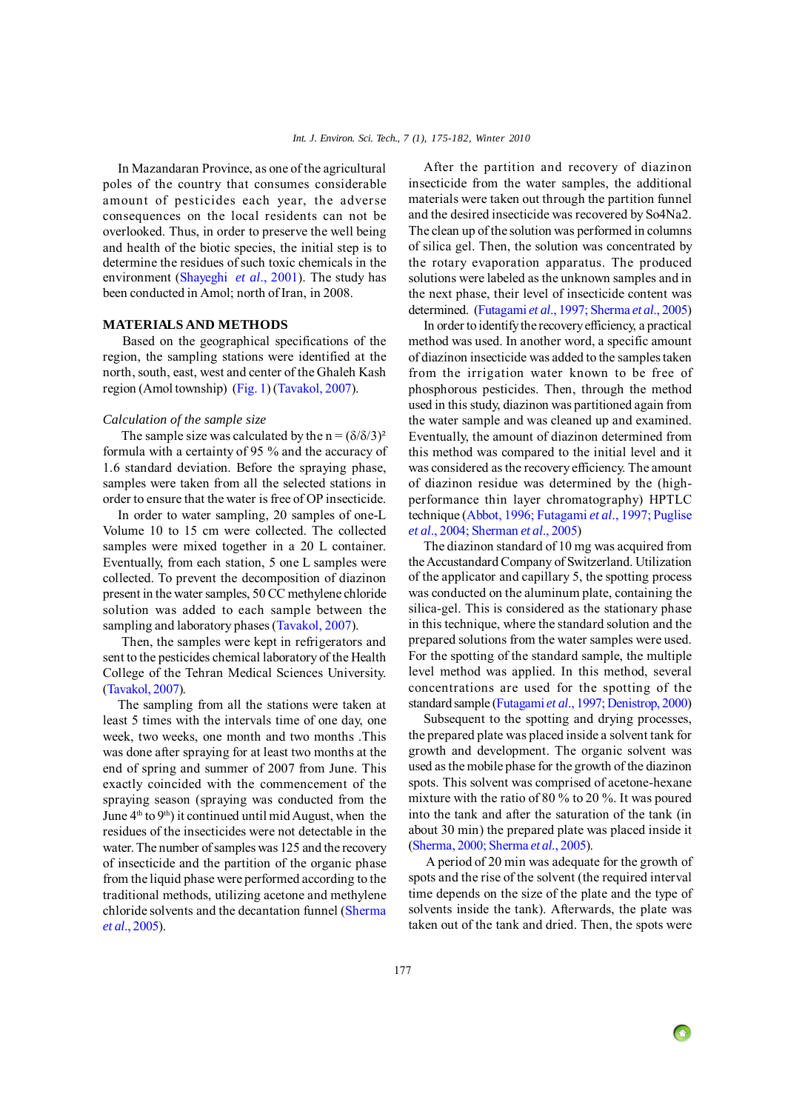In Mazandaran Province, as one of the agricultural poles of the country that consumes considerable amount of pesticides each year, the adverse consequences on the local residents can not be overlooked. Thus, in order to preserve the well being and health of the biotic species, the initial step is to determine the residues of such toxic chemicals in the environment [\(Shayeghi](#page-6-0) *et al*., 2001). The study has been conducted in Amol; north of Iran, in 2008.

# **MATERIALS AND METHODS**

Based on the geographical specifications of the region, the sampling stations were identified at the north, south, east, west and center of the Ghaleh Kash region (Amol township) [\(Fig. 1](#page-1-0)) [\(Tavakol, 2007](#page-7-0)).

#### *Calculation of the sample size*

The sample size was calculated by the  $n = (\delta/\delta/3)^2$ formula with a certainty of 95 % and the accuracy of 1.6 standard deviation. Before the spraying phase, samples were taken from all the selected stations in order to ensure that the water is free of OP insecticide.

In order to water sampling, 20 samples of one-L Volume 10 to 15 cm were collected. The collected samples were mixed together in a 20 L container. Eventually, from each station, 5 one L samples were collected. To prevent the decomposition of diazinon present in the water samples, 50 CC methylene chloride solution was added to each sample between the sampling and laboratory phases ([Tavakol, 2007\)](#page-7-0).

 Then, the samples were kept in refrigerators and sent to the pesticides chemical laboratory of the Health College of the Tehran Medical Sciences University. ([Tavakol, 2007](#page-7-0)).

The sampling from all the stations were taken at least 5 times with the intervals time of one day, one week, two weeks, one month and two months .This was done after spraying for at least two months at the end of spring and summer of 2007 from June. This exactly coincided with the commencement of the spraying season (spraying was conducted from the June  $4<sup>th</sup>$  to  $9<sup>th</sup>$ ) it continued until mid August, when the residues of the insecticides were not detectable in the water. The number of samples was 125 and the recovery of insecticide and the partition of the organic phase from the liquid phase were performed according to the traditional methods, utilizing acetone and methylene chloride solvents and the decantation funnel [\(Sherma](#page-7-0) *et al*[., 2005](#page-7-0)).

After the partition and recovery of diazinon insecticide from the water samples, the additional materials were taken out through the partition funnel and the desired insecticide was recovered by So4Na2. The clean up of the solution was performed in columns of silica gel. Then, the solution was concentrated by the rotary evaporation apparatus. The produced solutions were labeled as the unknown samples and in the next phase, their level of insecticide content was determined. [\(Futagami](#page-6-0) *et al*., 1997; [Sherma](#page-7-0) *et al*., 2005)

In order to identify the recovery efficiency, a practical method was used. In another word, a specific amount of diazinon insecticide was added to the samples taken from the irrigation water known to be free of phosphorous pesticides. Then, through the method used in this study, diazinon was partitioned again from the water sample and was cleaned up and examined. Eventually, the amount of diazinon determined from this method was compared to the initial level and it was considered as the recovery efficiency. The amount of diazinon residue was determined by the (highperformance thin layer chromatography) HPTLC technique ([Abbot, 1996; Futagami](#page-6-0) *et al*., 1997; [Puglise](#page-6-0) *et al*[., 2004;](#page-6-0) [Sherman](#page-7-0) *et al*., 2005)

The diazinon standard of 10 mg was acquired from the Accustandard Company of Switzerland. Utilization of the applicator and capillary 5, the spotting process was conducted on the aluminum plate, containing the silica-gel. This is considered as the stationary phase in this technique, where the standard solution and the prepared solutions from the water samples were used. For the spotting of the standard sample, the multiple level method was applied. In this method, several concentrations are used for the spotting of the standard sample [\(Futagami](#page-6-0) *et al*., 1997; [Denistrop, 2000\)](#page-6-0)

Subsequent to the spotting and drying processes, the prepared plate was placed inside a solvent tank for growth and development. The organic solvent was used as the mobile phase for the growth of the diazinon spots. This solvent was comprised of acetone-hexane mixture with the ratio of 80 % to 20 %. It was poured into the tank and after the saturation of the tank (in about 30 min) the prepared plate was placed inside it [\(Sherma, 2000; Sherma](#page-7-0) *et al*., 2005).

 A period of 20 min was adequate for the growth of spots and the rise of the solvent (the required interval time depends on the size of the plate and the type of solvents inside the tank). Afterwards, the plate was taken out of the tank and dried. Then, the spots were

 $\bigodot$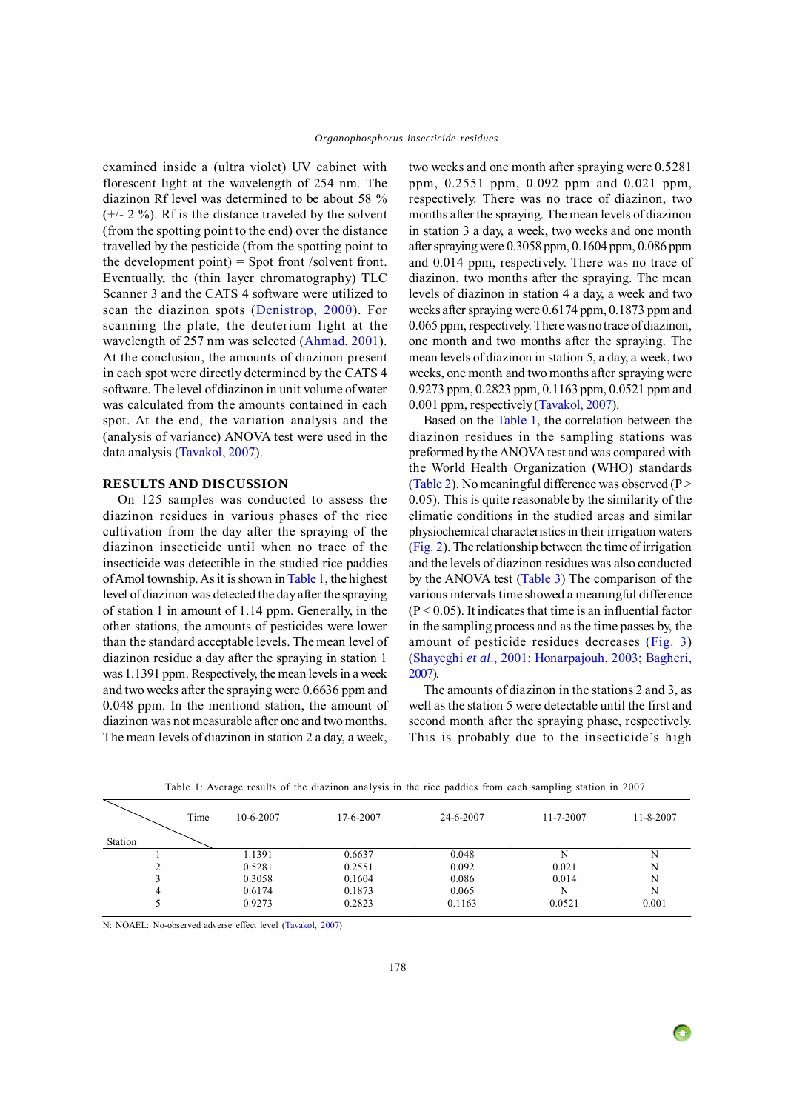examined inside a (ultra violet) UV cabinet with florescent light at the wavelength of 254 nm. The diazinon Rf level was determined to be about 58 %  $(+/- 2 \%)$ . Rf is the distance traveled by the solvent (from the spotting point to the end) over the distance travelled by the pesticide (from the spotting point to the development point)  $=$  Spot front /solvent front. Eventually, the (thin layer chromatography) TLC Scanner 3 and the CATS 4 software were utilized to scan the diazinon spots ([Denistrop, 2000\)](#page-6-0). For scanning the plate, the deuterium light at the wavelength of 257 nm was selected [\(Ahmad, 2001\)](#page-6-0). At the conclusion, the amounts of diazinon present in each spot were directly determined by the CATS 4 software. The level of diazinon in unit volume of water was calculated from the amounts contained in each spot. At the end, the variation analysis and the (analysis of variance) ANOVA test were used in the data analysis [\(Tavakol, 2007\)](#page-7-0).

#### **RESULTS AND DISCUSSION**

On 125 samples was conducted to assess the diazinon residues in various phases of the rice cultivation from the day after the spraying of the diazinon insecticide until when no trace of the insecticide was detectible in the studied rice paddies of Amol township. As it is shown in Table 1, the highest level of diazinon was detected the day after the spraying of station 1 in amount of 1.14 ppm. Generally, in the other stations, the amounts of pesticides were lower than the standard acceptable levels. The mean level of diazinon residue a day after the spraying in station 1 was 1.1391 ppm. Respectively, the mean levels in a week and two weeks after the spraying were 0.6636 ppm and 0.048 ppm. In the mentiond station, the amount of diazinon was not measurable after one and two months. The mean levels of diazinon in station 2 a day, a week,

two weeks and one month after spraying were 0.5281 ppm, 0.2551 ppm, 0.092 ppm and 0.021 ppm, respectively. There was no trace of diazinon, two months after the spraying. The mean levels of diazinon in station 3 a day, a week, two weeks and one month after spraying were 0.3058 ppm, 0.1604 ppm, 0.086 ppm and 0.014 ppm, respectively. There was no trace of diazinon, two months after the spraying. The mean levels of diazinon in station 4 a day, a week and two weeks after spraying were 0.6174 ppm, 0.1873 ppm and 0.065 ppm, respectively. There was no trace of diazinon, one month and two months after the spraying. The mean levels of diazinon in station 5, a day, a week, two weeks, one month and two months after spraying were 0.9273 ppm, 0.2823 ppm, 0.1163 ppm, 0.0521 ppm and 0.001 ppm, respectively ([Tavakol, 2007\)](#page-7-0).

Based on the Table 1, the correlation between the diazinon residues in the sampling stations was preformed by the ANOVA test and was compared with the World Health Organization (WHO) standards [\(Table 2](#page-4-0)). No meaningful difference was observed ( $P$  > 0.05). This is quite reasonable by the similarity of the climatic conditions in the studied areas and similar physiochemical characteristics in their irrigation waters [\(Fig. 2\)](#page-4-0). The relationship between the time of irrigation and the levels of diazinon residues was also conducted by the ANOVA test [\(Table 3\)](#page-4-0) The comparison of the various intervals time showed a meaningful difference  $(P < 0.05)$ . It indicates that time is an influential factor in the sampling process and as the time passes by, the amount of pesticide residues decreases [\(Fig. 3](#page-4-0)) [\(Shayeghi](#page-6-0) *et al*., 2001; [Honarpajouh, 2003; Bagheri,](#page-6-0) [2007\)](#page-6-0).

The amounts of diazinon in the stations 2 and 3, as well as the station 5 were detectable until the first and second month after the spraying phase, respectively. This is probably due to the insecticide's high

| Time    | $10-6-2007$ | 17-6-2007 | 24-6-2007 | 11-7-2007 | 11-8-2007 |
|---------|-------------|-----------|-----------|-----------|-----------|
| Station |             |           |           |           |           |
|         | 1.1391      | 0.6637    | 0.048     |           | N         |
|         | 0.5281      | 0.2551    | 0.092     | 0.021     | N         |
|         | 0.3058      | 0.1604    | 0.086     | 0.014     | N         |
| 4       | 0.6174      | 0.1873    | 0.065     | N         | N         |
|         | 0.9273      | 0.2823    | 0.1163    | 0.0521    | 0.001     |

Table 1: Average results of the diazinon analysis in the rice paddies from each sampling station in 2007

N: NOAEL: No-observed adverse effect level ([Tavakol, 2007](#page-7-0))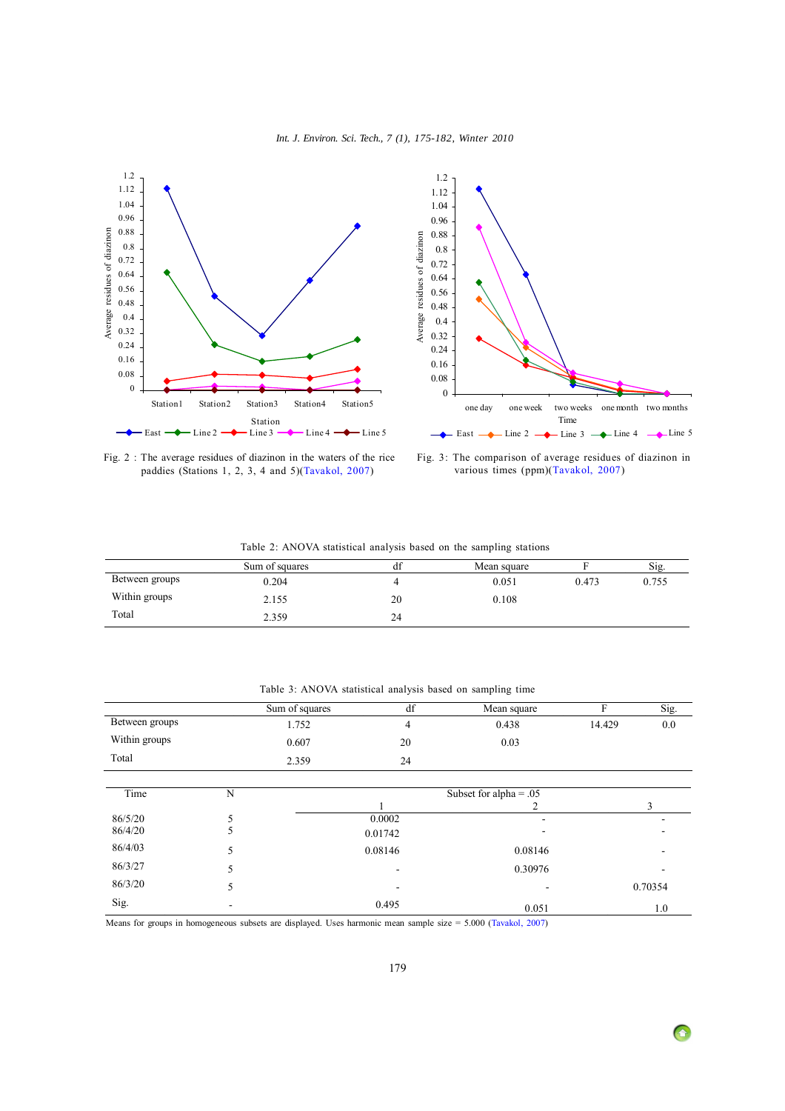

<span id="page-4-0"></span>



Fig. 2 : The average residues of diazinon in the waters of the rice paddies (Stations 1, 2, 3, 4 and 5)([Tavakol, 2007](#page-7-0))

Fig. 3: The comparison of average residues of diazinon in various times (ppm)[\(Tavakol, 2007\)](#page-7-0)

|  |  |  |  | Table 2: ANOVA statistical analysis based on the sampling stations |  |  |  |  |  |  |
|--|--|--|--|--------------------------------------------------------------------|--|--|--|--|--|--|
|--|--|--|--|--------------------------------------------------------------------|--|--|--|--|--|--|

|                | Sum of squares |    | Mean square |       | Sig   |
|----------------|----------------|----|-------------|-------|-------|
| Between groups | 0.204          |    | 0.051       | 0.473 | 0.755 |
| Within groups  | 2.155          | 20 | 0.108       |       |       |
| Total          | 2.359          | 24 |             |       |       |

|                                       |   | Sum of squares | df      | Mean square | F      | Sig.    |
|---------------------------------------|---|----------------|---------|-------------|--------|---------|
| Between groups                        |   | 1.752          | 4       | 0.438       | 14.429 | 0.0     |
| Within groups                         |   | 0.607          | 20      | 0.03        |        |         |
| Total                                 |   | 2.359          | 24      |             |        |         |
|                                       |   |                |         |             |        |         |
| N<br>Subset for alpha = $.05$<br>Time |   |                |         |             |        |         |
|                                       |   |                |         |             |        | 3       |
| 86/5/20                               |   |                | 0.0002  |             |        |         |
| 86/4/20                               | 5 |                | 0.01742 |             |        |         |
| 86/4/03                               | 5 |                | 0.08146 | 0.08146     |        |         |
| 86/3/27                               | 5 |                |         | 0.30976     |        |         |
| 86/3/20                               | 5 |                | ۰       | -           |        | 0.70354 |
| Sig.                                  |   |                | 0.495   | 0.051       |        | 1.0     |

Table 3: ANOVA statistical analysis based on sampling time

Means for groups in homogeneous subsets are displayed. Uses harmonic mean sample size = 5.000 [\(Tavakol, 2007\)](#page-7-0)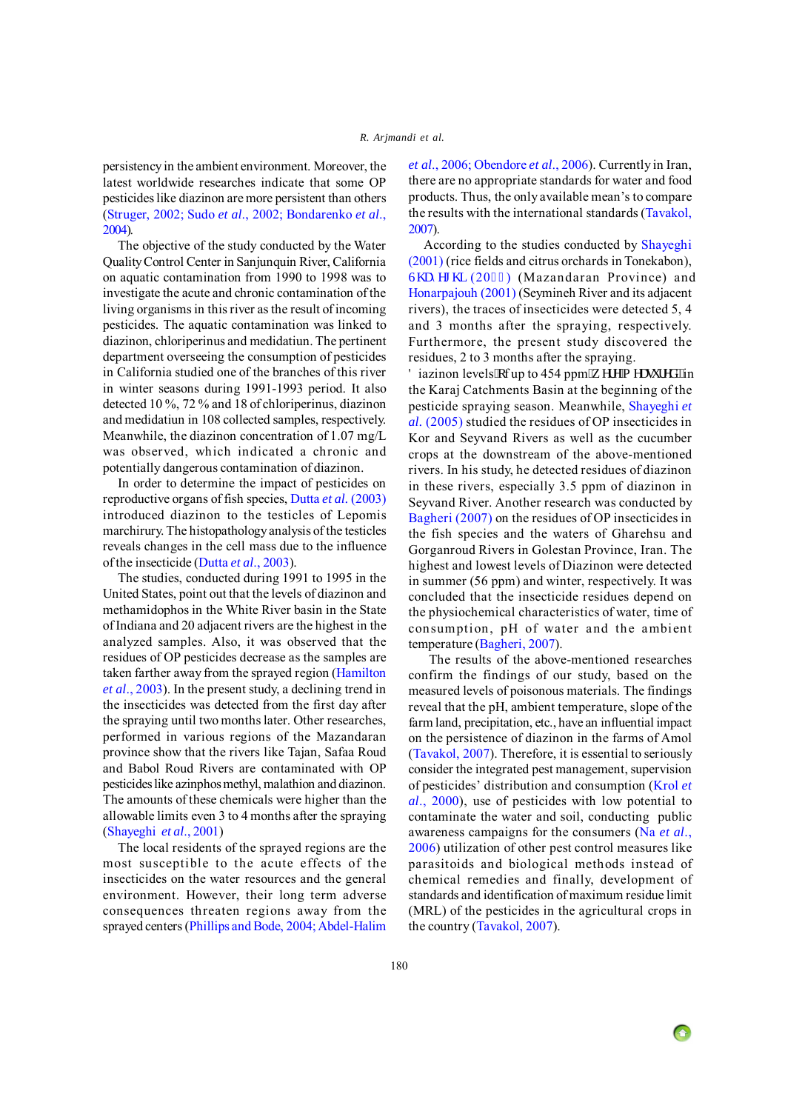persistency in the ambient environment. Moreover, the latest worldwide researches indicate that some OP pesticides like diazinon are more persistent than others [\(Struger, 2002;](#page-7-0) Sudo *et al*[., 2002;](#page-7-0) [Bondarenko](#page-6-0) *et al*., [2004](#page-6-0)).

The objective of the study conducted by the Water Quality Control Center in Sanjunquin River, California on aquatic contamination from 1990 to 1998 was to investigate the acute and chronic contamination of the living organisms in this river as the result of incoming pesticides. The aquatic contamination was linked to diazinon, chloriperinus and medidatiun. The pertinent department overseeing the consumption of pesticides in California studied one of the branches of this river in winter seasons during 1991-1993 period. It also detected 10 %, 72 % and 18 of chloriperinus, diazinon and medidatiun in 108 collected samples, respectively. Meanwhile, the diazinon concentration of 1.07 mg/L was observed, which indicated a chronic and potentially dangerous contamination of diazinon.

In order to determine the impact of pesticides on reproductive organs of fish species, Dutta *et al.* [\(2003\)](#page-6-0) introduced diazinon to the testicles of Lepomis marchirury. The histopathology analysis of the testicles reveals changes in the cell mass due to the influence of the insecticide (Dutta *et al*[., 2003](#page-6-0)).

The studies, conducted during 1991 to 1995 in the United States, point out that the levels of diazinon and methamidophos in the White River basin in the State of Indiana and 20 adjacent rivers are the highest in the analyzed samples. Also, it was observed that the residues of OP pesticides decrease as the samples are taken farther away from the sprayed region [\(Hamilton](#page-6-0) *et al*[., 2003\)](#page-6-0). In the present study, a declining trend in the insecticides was detected from the first day after the spraying until two months later. Other researches, performed in various regions of the Mazandaran province show that the rivers like Tajan, Safaa Roud and Babol Roud Rivers are contaminated with OP pesticides like azinphos methyl, malathion and diazinon. The amounts of these chemicals were higher than the allowable limits even 3 to 4 months after the spraying [\(Shayeghi](#page-6-0) *et al*., 2001)

The local residents of the sprayed regions are the most susceptible to the acute effects of the insecticides on the water resources and the general environment. However, their long term adverse consequences threaten regions away from the sprayed centers ([Phillips and Bode, 2004; Abdel-Halim](#page-6-0) *et al*[., 2006; Obendore](#page-6-0) *et al*., 2006). Currently in Iran, there are no appropriate standards for water and food products. Thus, the only available mean's to compare the results with the international standards ([Tavakol,](#page-7-0) [2007](#page-7-0)).

According to the studies conducted b[y Shayeghi](#page-6-0) [\(2001\)](#page-6-0) (rice fields and citrus orchards in Tonekabon), Uj  $c$ {gi j k (2023) (Mazandaran Province) and [Honarpajouh \(2001\)](#page-6-0) (Seymineh River and its adjacent rivers), the traces of insecticides were detected 5, 4 and 3 months after the spraying, respectively. Furthermore, the present study discovered the residues, 2 to 3 months after the spraying.

 $F$  iazinon levels "qf up to 454 ppm"y gtg"o gcuwt gf ""in the Karaj Catchments Basin at the beginning of the pesticide spraying season. Meanwhile, [Shayeghi](#page-6-0) *et al.* [\(2005\)](#page-6-0) studied the residues of OP insecticides in Kor and Seyvand Rivers as well as the cucumber crops at the downstream of the above-mentioned rivers. In his study, he detected residues of diazinon in these rivers, especially 3.5 ppm of diazinon in Seyvand River. Another research was conducted by [Bagheri \(2007\)](#page-6-0) on the residues of OP insecticides in the fish species and the waters of Gharehsu and Gorganroud Rivers in Golestan Province, Iran. The highest and lowest levels of Diazinon were detected in summer (56 ppm) and winter, respectively. It was concluded that the insecticide residues depend on the physiochemical characteristics of water, time of consumption, pH of water and the ambient temperature [\(Bagheri, 2007\)](#page-6-0).

 The results of the above-mentioned researches confirm the findings of our study, based on the measured levels of poisonous materials. The findings reveal that the pH, ambient temperature, slope of the farm land, precipitation, etc., have an influential impact on the persistence of diazinon in the farms of Amol [\(Tavakol, 2007\)](#page-7-0). Therefore, it is essential to seriously consider the integrated pest management, supervision of pesticides' distribution and consumption [\(Krol](#page-6-0) *et al*[., 2000](#page-6-0)), use of pesticides with low potential to contaminate the water and soil, conducting public awareness campaigns for the consumers (Na *[et al](#page-6-0)*., 2006) utilization of other pest control measures like parasitoids and biological methods instead of chemical remedies and finally, development of standards and identification of maximum residue limit (MRL) of the pesticides in the agricultural crops in the country ([Tavakol, 2007](#page-7-0)).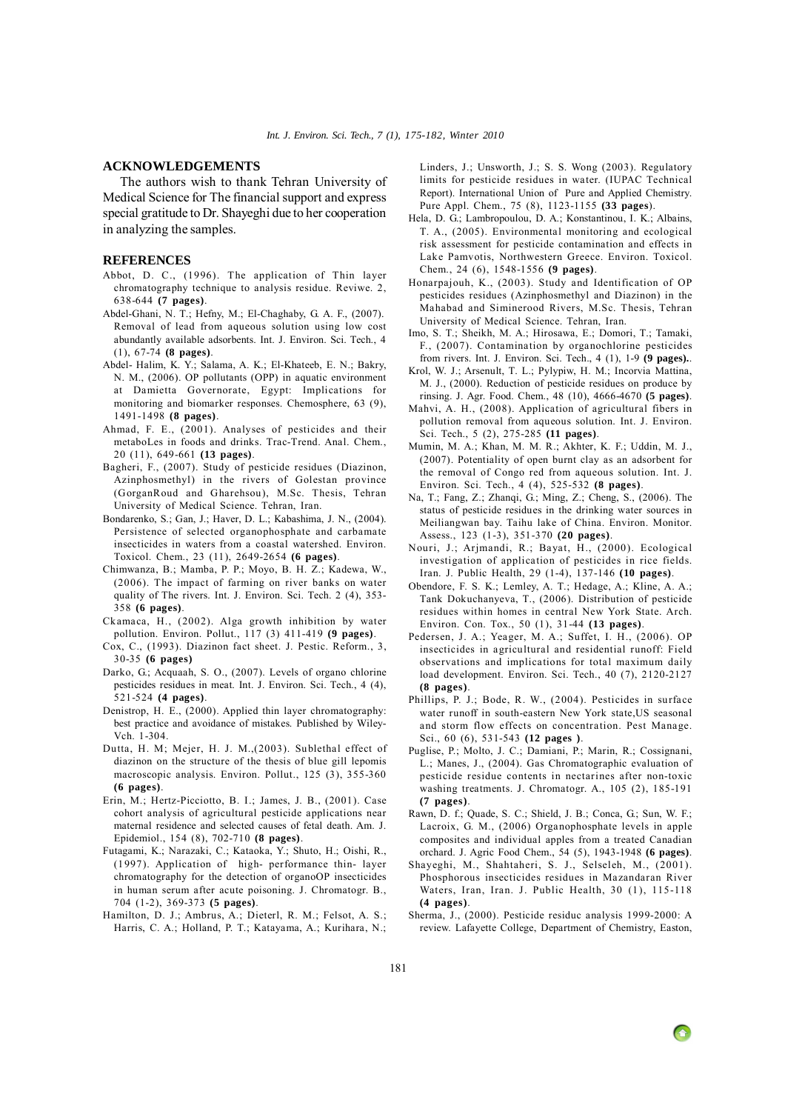## <span id="page-6-0"></span>**ACKNOWLEDGEMENTS**

The authors wish to thank Tehran University of Medical Science for The financial support and express special gratitude to Dr. Shayeghi due to her cooperation in analyzing the samples.

# **REFERENCES**

- Abbot, D. C., (1996). The application of Thin layer chromatography technique to analysis residue. Reviwe. 2, 638-644 **(7 pages)**.
- Abdel-Ghani, N. T.; Hefny, M.; El-Chaghaby, G. A. F., (2007). Removal of lead from aqueous solution using low cost abundantly available adsorbents. Int. J. Environ. Sci. Tech., 4 (1), 67-74 **(8 pages)**.
- Abdel- Halim, K. Y.; Salama, A. K.; El-Khateeb, E. N.; Bakry, N. M., (2006). OP pollutants (OPP) in aquatic environment at Damietta Governorate, Egypt: Implications for monitoring and biomarker responses. Chemosphere, 63 (9), 1491-1498 **(8 pages)**.
- Ahmad, F. E., (2001). Analyses of pesticides and their metaboLes in foods and drinks. Trac-Trend. Anal. Chem., 20 (11), 649-661 **(13 pages)**.
- Bagheri, F., (2007). Study of pesticide residues (Diazinon, Azinphosmethyl) in the rivers of Golestan province (GorganRoud and Gharehsou), M.Sc. Thesis, Tehran University of Medical Science. Tehran, Iran.
- Bondarenko, S.; Gan, J.; Haver, D. L.; Kabashima, J. N., (2004). Persistence of selected organophosphate and carbamate insecticides in waters from a coastal watershed. Environ. Toxicol. Chem., 23 (11), 2649-2654 **(6 pages)**.
- Chimwanza, B.; Mamba, P. P.; Moyo, B. H. Z.; Kadewa, W., (2006). The impact of farming on river banks on water quality of The rivers. Int. J. Environ. Sci. Tech. 2 (4), 353- 358 **(6 pages)**.
- Ckamaca, H., (2002). Alga growth inhibition by water pollution. Environ. Pollut., 117 (3) 411-419 **(9 pages)**.
- Cox, C., (1993). Diazinon fact sheet. J. Pestic. Reform., 3, 30-35 **(6 pages)**
- Darko, G.; Acquaah, S. O., (2007). Levels of organo chlorine pesticides residues in meat. Int. J. Environ. Sci. Tech., 4 (4), 521-524 **(4 pages)**.
- Denistrop, H. E., (2000). Applied thin layer chromatography: best practice and avoidance of mistakes. Published by Wiley-Vch. 1-304.
- Dutta, H. M; Mejer, H. J. M.,(2003). Sublethal effect of diazinon on the structure of the thesis of blue gill lepomis macroscopic analysis. Environ. Pollut., 125 (3), 355-360 **(6 pages)**.
- Erin, M.; Hertz-Picciotto, B. I.; James, J. B., (2001). Case cohort analysis of agricultural pesticide applications near maternal residence and selected causes of fetal death. Am. J. Epidemiol., 154 (8), 702-710 **(8 pages)**.
- Futagami, K.; Narazaki, C.; Kataoka, Y.; Shuto, H.; Oishi, R., (1997). Application of high- performance thin- layer chromatography for the detection of organoOP insecticides in human serum after acute poisoning. J. Chromatogr. B., 704 (1-2), 369-373 **(5 pages)**.
- Hamilton, D. J.; Ambrus, A.; Dieterl, R. M.; Felsot, A. S.; Harris, C. A.; Holland, P. T.; Katayama, A.; Kurihara, N.;

Linders, J.; Unsworth, J.; S. S. Wong (2003). Regulatory limits for pesticide residues in water. (IUPAC Technical Report). International Union of Pure and Applied Chemistry. Pure Appl. Chem., 75 (8), 1123-1155 **(33 pages**).

- Hela, D. G.; Lambropoulou, D. A.; Konstantinou, I. K.; Albains, T. A., (2005). Environmental monitoring and ecological risk assessment for pesticide contamination and effects in Lake Pamvotis, Northwestern Greece. Environ. Toxicol. Chem., 24 (6), 1548-1556 **(9 pages)**.
- Honarpajouh, K., (2003). Study and Identification of OP pesticides residues (Azinphosmethyl and Diazinon) in the Mahabad and Siminerood Rivers, M.Sc. Thesis, Tehran University of Medical Science. Tehran, Iran.
- Imo, S. T.; Sheikh, M. A.; Hirosawa, E.; Domori, T.; Tamaki, F., (2007). Contamination by organochlorine pesticides from rivers. Int. J. Environ. Sci. Tech., 4 (1), 1-9 **(9 pages).**.
- Krol, W. J.; Arsenult, T. L.; Pylypiw, H. M.; Incorvia Mattina, M. J., (2000). Reduction of pesticide residues on produce by rinsing. J. Agr. Food. Chem., 48 (10), 4666-4670 **(5 pages)**.
- Mahvi, A. H., (2008). Application of agricultural fibers in pollution removal from aqueous solution. Int. J. Environ. Sci. Tech., 5 (2), 275-285 **(11 pages)**.
- Mumin, M. A.; Khan, M. M. R.; Akhter, K. F.; Uddin, M. J., (2007). Potentiality of open burnt clay as an adsorbent for the removal of Congo red from aqueous solution. Int. J. Environ. Sci. Tech., 4 (4), 525-532 **(8 pages)**.
- Na, T.; Fang, Z.; Zhanqi, G.; Ming, Z.; Cheng, S., (2006). The status of pesticide residues in the drinking water sources in Meiliangwan bay. Taihu lake of China. Environ. Monitor. Assess., 123 (1-3), 351-370 **(20 pages)**.
- Nouri, J.; Arjmandi, R.; Bayat, H., (2000). Ecological investigation of application of pesticides in rice fields. Iran. J. Public Health, 29 (1-4), 137-146 **(10 pages)**.
- Obendore, F. S. K.; Lemley, A. T.; Hedage, A.; Kline, A. A.; Tank Dokuchanyeva, T., (2006). Distribution of pesticide residues within homes in central New York State. Arch. Environ. Con. Tox., 50 (1), 31-44 **(13 pages)**.
- Pedersen, J. A.; Yeager, M. A.; Suffet, I. H., (2006). OP insecticides in agricultural and residential runoff: Field observations and implications for total maximum daily load development. Environ. Sci. Tech., 40 (7), 2120-2127 **(8 pages)**.
- Phillips, P. J.; Bode, R. W., (2004). Pesticides in surface water runoff in south-eastern New York state,US seasonal and storm flow effects on concentration. Pest Manage. Sci., 60 (6), 531-543 **(12 pages )**.
- Puglise, P.; Molto, J. C.; Damiani, P.; Marin, R.; Cossignani, L.; Manes, J., (2004). Gas Chromatographic evaluation of pesticide residue contents in nectarines after non-toxic washing treatments. J. Chromatogr. A., 105 (2), 185-191 **(7 pages)**.
- Rawn, D. f.; Quade, S. C.; Shield, J. B.; Conca, G.; Sun, W. F.; Lacroix, G. M., (2006) Organophosphate levels in apple composites and individual apples from a treated Canadian orchard. J. Agric Food Chem., 54 (5), 1943-1948 **(6 pages)**.
- Shayeghi, M., Shahtaheri, S. J., Selseleh, M., (2001). Phosphorous insecticides residues in Mazandaran River Waters, Iran, Iran. J. Public Health, 30 (1), 115-118 **(4 pages)**.
- Sherma, J., (2000). Pesticide residuc analysis 1999-2000: A review. Lafayette College, Department of Chemistry, Easton,